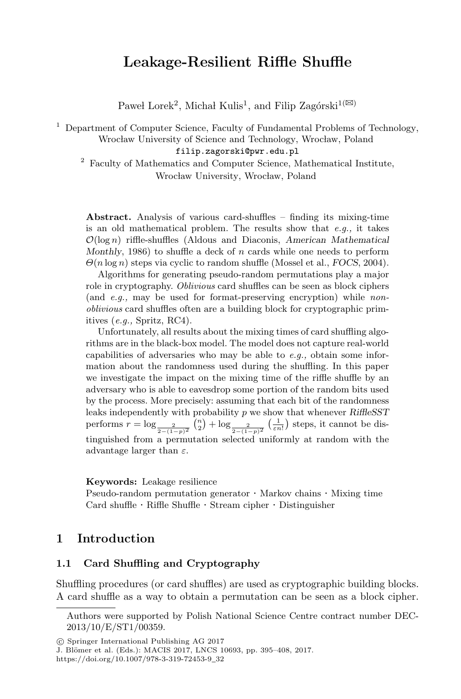# **Leakage-Resilient Riffle Shuffle**

Paweł Lorek<sup>2</sup>, Michał Kulis<sup>1</sup>, and Filip Zagórski<sup>1( $\boxtimes$ )</sup>

 $1$  Department of Computer Science, Faculty of Fundamental Problems of Technology, Wrocław University of Science and Technology, Wrocław, Poland

filip.zagorski@pwr.edu.pl

<sup>2</sup> Faculty of Mathematics and Computer Science, Mathematical Institute, Wrocław University, Wrocław, Poland

**Abstract.** Analysis of various card-shuffles – finding its mixing-time is an old mathematical problem. The results show that *e.g.,* it takes  $\mathcal{O}(\log n)$  riffle-shuffles (Aldous and Diaconis, *American Mathematical Monthly*, 1986) to shuffle a deck of n cards while one needs to perform Θ(n log n) steps via cyclic to random shuffle (Mossel et al., *FOCS*, 2004).

Algorithms for generating pseudo-random permutations play a major role in cryptography. *Oblivious* card shuffles can be seen as block ciphers (and *e.g.,* may be used for format-preserving encryption) while *nonoblivious* card shuffles often are a building block for cryptographic primitives (*e.g.,* Spritz, RC4).

Unfortunately, all results about the mixing times of card shuffling algorithms are in the black-box model. The model does not capture real-world capabilities of adversaries who may be able to *e.g.,* obtain some information about the randomness used during the shuffling. In this paper we investigate the impact on the mixing time of the riffle shuffle by an adversary who is able to eavesdrop some portion of the random bits used by the process. More precisely: assuming that each bit of the randomness leaks independently with probability p we show that whenever *RiffleSST* performs  $r = \log_{\frac{2}{2-(1-p)^2}} {n \choose 2} + \log_{\frac{2}{2-(1-p)^2}} (\frac{1}{\varepsilon n})$  steps, it cannot be distinguished from a permutation selected uniformly at random with the advantage larger than  $\varepsilon$ .

#### **Keywords:** Leakage resilience

Pseudo-random permutation generator · Markov chains · Mixing time Card shuffle · Riffle Shuffle · Stream cipher · Distinguisher

#### **1 Introduction**

#### **1.1 Card Shuffling and Cryptography**

Shuffling procedures (or card shuffles) are used as cryptographic building blocks. A card shuffle as a way to obtain a permutation can be seen as a block cipher.

J. Blömer et al. (Eds.): MACIS 2017, LNCS 10693, pp. 395-408, 2017. https://doi.org/10.1007/978-3-319-72453-9\_32

Authors were supported by Polish National Science Centre contract number DEC-2013/10/E/ST1/00359.

<sup>-</sup>c Springer International Publishing AG 2017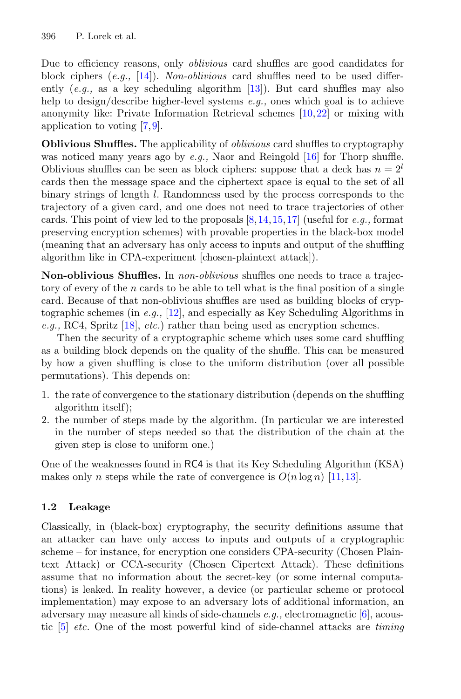Due to efficiency reasons, only *oblivious* card shuffles are good candidates for block ciphers (*e.g.,* [\[14](#page-12-0)]). *Non-oblivious* card shuffles need to be used differently (*e.g.,* as a key scheduling algorithm [\[13](#page-12-1)]). But card shuffles may also help to design/describe higher-level systems *e.g.,* ones which goal is to achieve anonymity like: Private Information Retrieval schemes [\[10](#page-12-2),[22\]](#page-13-0) or mixing with application to voting [\[7](#page-12-3)[,9\]](#page-12-4).

**Oblivious Shuffles.** The applicability of *oblivious* card shuffles to cryptography was noticed many years ago by *e.g.,* Naor and Reingold [\[16](#page-12-5)] for Thorp shuffle. Oblivious shuffles can be seen as block ciphers: suppose that a deck has  $n = 2^l$ cards then the message space and the ciphertext space is equal to the set of all binary strings of length l. Randomness used by the process corresponds to the trajectory of a given card, and one does not need to trace trajectories of other cards. This point of view led to the proposals [\[8](#page-12-6)[,14](#page-12-0),[15,](#page-12-7)[17\]](#page-12-8) (useful for *e.g.,* format preserving encryption schemes) with provable properties in the black-box model (meaning that an adversary has only access to inputs and output of the shuffling algorithm like in CPA-experiment [chosen-plaintext attack]).

**Non-oblivious Shuffles.** In *non-oblivious* shuffles one needs to trace a trajectory of every of the n cards to be able to tell what is the final position of a single card. Because of that non-oblivious shuffles are used as building blocks of cryptographic schemes (in *e.g.,* [\[12\]](#page-12-9), and especially as Key Scheduling Algorithms in *e.g.,* RC4, Spritz [\[18](#page-12-10)], *etc.*) rather than being used as encryption schemes.

Then the security of a cryptographic scheme which uses some card shuffling as a building block depends on the quality of the shuffle. This can be measured by how a given shuffling is close to the uniform distribution (over all possible permutations). This depends on:

- 1. the rate of convergence to the stationary distribution (depends on the shuffling algorithm itself);
- 2. the number of steps made by the algorithm. (In particular we are interested in the number of steps needed so that the distribution of the chain at the given step is close to uniform one.)

One of the weaknesses found in RC4 is that its Key Scheduling Algorithm (KSA) makes only n steps while the rate of convergence is  $O(n \log n)$  [\[11](#page-12-11), 13].

## **1.2 Leakage**

Classically, in (black-box) cryptography, the security definitions assume that an attacker can have only access to inputs and outputs of a cryptographic scheme – for instance, for encryption one considers CPA-security (Chosen Plaintext Attack) or CCA-security (Chosen Cipertext Attack). These definitions assume that no information about the secret-key (or some internal computations) is leaked. In reality however, a device (or particular scheme or protocol implementation) may expose to an adversary lots of additional information, an adversary may measure all kinds of side-channels *e.g.,* electromagnetic [\[6](#page-12-12)], acoustic [\[5\]](#page-11-0) *etc.* One of the most powerful kind of side-channel attacks are *timing*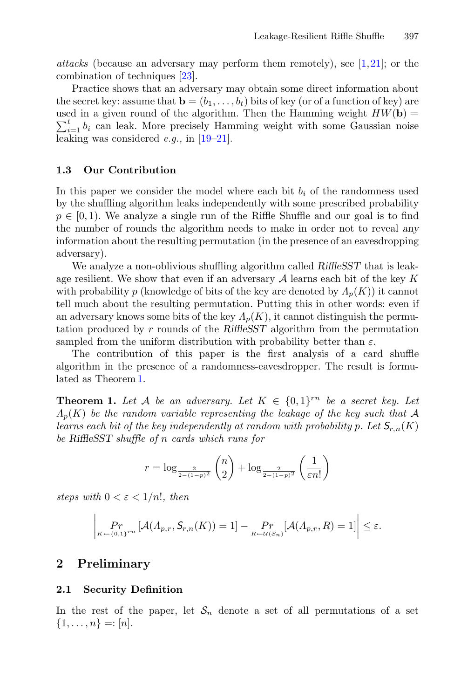*attacks* (because an adversary may perform them remotely), see [\[1,](#page-11-1)[21](#page-13-1)]; or the combination of techniques [\[23](#page-13-2)].

Practice shows that an adversary may obtain some direct information about the secret key: assume that  $\mathbf{b} = (b_1, \ldots, b_t)$  bits of key (or of a function of key) are used in a given round of the algorithm. Then the Hamming weight  $HW(\mathbf{b}) = \sum_{k=1}^{t} A_k$  $\sum_{i=1}^{t} b_i$  can leak. More precisely Hamming weight with some Gaussian noise leaking was considered *e.g.,* in [\[19](#page-12-13)[–21](#page-13-1)].

#### **1.3 Our Contribution**

In this paper we consider the model where each bit  $b_i$  of the randomness used by the shuffling algorithm leaks independently with some prescribed probability  $p \in [0, 1)$ . We analyze a single run of the Riffle Shuffle and our goal is to find the number of rounds the algorithm needs to make in order not to reveal *any* information about the resulting permutation (in the presence of an eavesdropping adversary).

We analyze a non-oblivious shuffling algorithm called *RiffleSST* that is leakage resilient. We show that even if an adversary  $A$  learns each bit of the key K with probability p (knowledge of bits of the key are denoted by  $\Lambda_p(K)$ ) it cannot tell much about the resulting permutation. Putting this in other words: even if an adversary knows some bits of the key  $\Lambda_p(K)$ , it cannot distinguish the permutation produced by r rounds of the *RiffleSST* algorithm from the permutation sampled from the uniform distribution with probability better than  $\varepsilon$ .

The contribution of this paper is the first analysis of a card shuffle algorithm in the presence of a randomness-eavesdropper. The result is formulated as Theorem [1.](#page-2-0)

<span id="page-2-0"></span>**Theorem 1.** Let A be an adversary. Let  $K \in \{0,1\}^{rn}$  be a secret key. Let  $\Lambda_n(K)$  be the random variable representing the leakage of the key such that A *learns each bit of the key independently at random with probability* p. Let  $S_{r,n}(K)$ *be RiffleSST shuffle of* n *cards which runs for*

$$
r = \log_{\frac{2}{2 - (1 - p)^2}} {n \choose 2} + \log_{\frac{2}{2 - (1 - p)^2}} \left(\frac{1}{\varepsilon n!}\right)
$$

*steps with*  $0 < \varepsilon < 1/n!$ *, then* 

$$
\left| \Pr_{K \leftarrow \{0,1\}^{rn}} \left[ \mathcal{A}(\Lambda_{p,r}, \mathcal{S}_{r,n}(K)) = 1 \right] - \Pr_{R \leftarrow \mathcal{U}(\mathcal{S}_n)}[\mathcal{A}(\Lambda_{p,r}, R) = 1] \right| \le \varepsilon.
$$

### **2 Preliminary**

#### **2.1 Security Definition**

In the rest of the paper, let  $S_n$  denote a set of all permutations of a set  $\{1,\ldots,n\} = |n|.$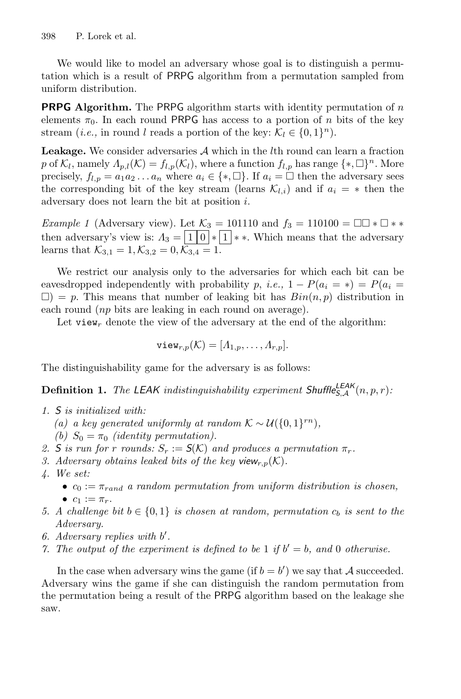We would like to model an adversary whose goal is to distinguish a permutation which is a result of PRPG algorithm from a permutation sampled from uniform distribution.

**PRPG Algorithm.** The PRPG algorithm starts with identity permutation of <sup>n</sup> elements  $\pi_0$ . In each round PRPG has access to a portion of n bits of the key stream (*i.e.*, in round l reads a portion of the key:  $\mathcal{K}_l \in \{0,1\}^n$ ).

Leakage. We consider adversaries  $A$  which in the  $l$ th round can learn a fraction p of  $\mathcal{K}_l$ , namely  $\Lambda_{p,l}(\mathcal{K}) = f_{l,p}(\mathcal{K}_l)$ , where a function  $f_{l,p}$  has range  $\{\ast, \Box\}^n$ . More precisely,  $f_{l,p} = a_1 a_2 \dots a_n$  where  $a_i \in \{*, \square\}$ . If  $a_i = \square$  then the adversary sees the corresponding bit of the key stream (learns  $\mathcal{K}_{l,i}$ ) and if  $a_i = *$  then the adversary does not learn the bit at position i.

*Example 1* (Adversary view). Let  $\mathcal{K}_3 = 101110$  and  $f_3 = 110100 = \Box \Box * \Box * *$ then adversary's view is:  $\Lambda_3 = \boxed{1 \ 0} * \boxed{1} * *$ . Which means that the adversary learns that  $\mathcal{K}_{3,1} = 1, \mathcal{K}_{3,2} = 0, \overline{\mathcal{K}_{3,4}} = 1.$ 

We restrict our analysis only to the adversaries for which each bit can be eavesdropped independently with probability p, *i.e.*,  $1 - P(a_i = *) = P(a_i = *)$  $\Box$ ) = p. This means that number of leaking bit has  $Bin(n, p)$  distribution in each round (np bits are leaking in each round on average).

Let view<sub>r</sub> denote the view of the adversary at the end of the algorithm:

$$
\mathsf{view}_{r,p}(\mathcal{K}) = [A_{1,p}, \ldots, A_{r,p}].
$$

The distinguishability game for the adversary is as follows:

**Definition 1.** *The LEAK indistinguishability experiment Shuffle*<sup> $\mathsf{LEAK}(n, p, r)$ *:*</sup>

- *1.* S *is initialized with:*
	- *(a) a key generated uniformly at random*  $K ∼ U({0, 1}^{rn})$ *,*
	- *(b)*  $S_0 = \pi_0$  *(identity permutation).*
- 2. S is run for r rounds:  $S_r := S(K)$  and produces a permutation  $\pi_r$ .
- *3. Adversary obtains leaked bits of the key view<sub>r,p</sub>(K).*
- *4. We set:*
	- $\bullet$   $c_0 := \pi_{rand}$  *a random permutation from uniform distribution is chosen,* •  $c_1 := \pi_r$ .
- *5. A challenge bit*  $b \in \{0, 1\}$  *is chosen at random, permutation*  $c_b$  *is sent to the Adversary.*
- *6. Adversary replies with* b *.*
- *7. The output of the experiment is defined to be* 1 *if*  $b' = b$ , and 0 *otherwise.*

<span id="page-3-0"></span>In the case when adversary wins the game (if  $b = b'$ ) we say that A succeeded. Adversary wins the game if she can distinguish the random permutation from the permutation being a result of the PRPG algorithm based on the leakage she saw.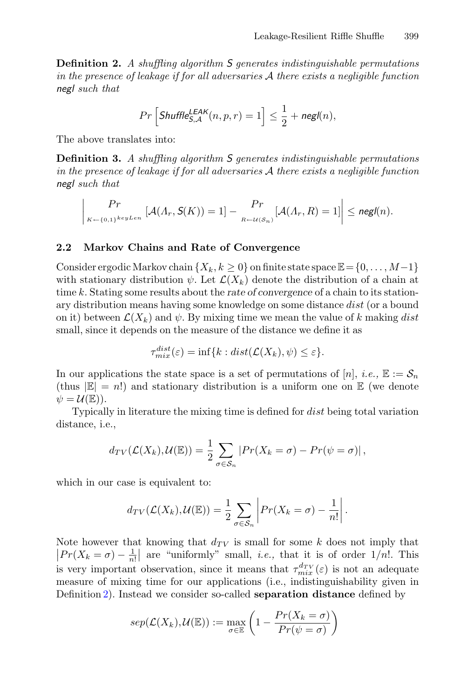**Definition 2.** *A shuffling algorithm* S *generates indistinguishable permutations in the presence of leakage if for all adversaries* A *there exists a negligible function* negl *such that*

$$
Pr\left[\mathsf{Shuffle}_{\mathsf{S},\mathcal{A}}^{\mathsf{LEAK}}(n,p,r) = 1\right] \le \frac{1}{2} + \mathsf{negl}(n),
$$

The above translates into:

**Definition 3.** *A shuffling algorithm* S *generates indistinguishable permutations in the presence of leakage if for all adversaries* A *there exists a negligible function* negl *such that*

$$
\left|\Pr_{K \leftarrow \{0,1\}^{keyLen}}\left[\mathcal{A}(\Lambda_r, \mathcal{S}(K)) = 1\right] - \Pr_{R \leftarrow \mathcal{U}(\mathcal{S}_n)}\left[\mathcal{A}(\Lambda_r, R) = 1\right]\right| \leq \mathsf{negl}(n).
$$

#### **2.2 Markov Chains and Rate of Convergence**

Consider ergodic Markov chain  $\{X_k, k \geq 0\}$  on finite state space  $\mathbb{E} = \{0, \ldots, M-1\}$ with stationary distribution  $\psi$ . Let  $\mathcal{L}(X_k)$  denote the distribution of a chain at time k. Stating some results about the *rate of convergence* of a chain to its stationary distribution means having some knowledge on some distance dist (or a bound on it) between  $\mathcal{L}(X_k)$  and  $\psi$ . By mixing time we mean the value of k making dist small, since it depends on the measure of the distance we define it as

$$
\tau_{mix}^{dist}(\varepsilon) = \inf\{k : dist(\mathcal{L}(X_k), \psi) \le \varepsilon\}.
$$

In our applications the state space is a set of permutations of [n], *i.e.*,  $\mathbb{E} := \mathcal{S}_n$ (thus  $|E| = n!$ ) and stationary distribution is a uniform one on E (we denote  $\psi = \mathcal{U}(\mathbb{E})).$ 

Typically in literature the mixing time is defined for dist being total variation distance, i.e.,

$$
d_{TV}(\mathcal{L}(X_k), \mathcal{U}(\mathbb{E})) = \frac{1}{2} \sum_{\sigma \in \mathcal{S}_n} |Pr(X_k = \sigma) - Pr(\psi = \sigma)|,
$$

which in our case is equivalent to:

$$
d_{TV}(\mathcal{L}(X_k), \mathcal{U}(\mathbb{E})) = \frac{1}{2} \sum_{\sigma \in \mathcal{S}_n} \left| Pr(X_k = \sigma) - \frac{1}{n!} \right|.
$$

Note however that knowing that  $d_{TV}$  is small for some k does not imply that  $|Pr(X_k = \sigma) - \frac{1}{n!}|$  are "uniformly" small, *i.e.*, that it is of order  $1/n!$ . This is very important observation, since it means that  $\tau_{mix}^{d_{TV}}(\varepsilon)$  is not an adequate measure of mixing time for our applications (i.e., indistinguishability given in Definition [2\)](#page-3-0). Instead we consider so-called **separation distance** defined by

$$
sep(\mathcal{L}(X_k), \mathcal{U}(\mathbb{E})) := \max_{\sigma \in \mathbb{E}} \left( 1 - \frac{Pr(X_k = \sigma)}{Pr(\psi = \sigma)} \right)
$$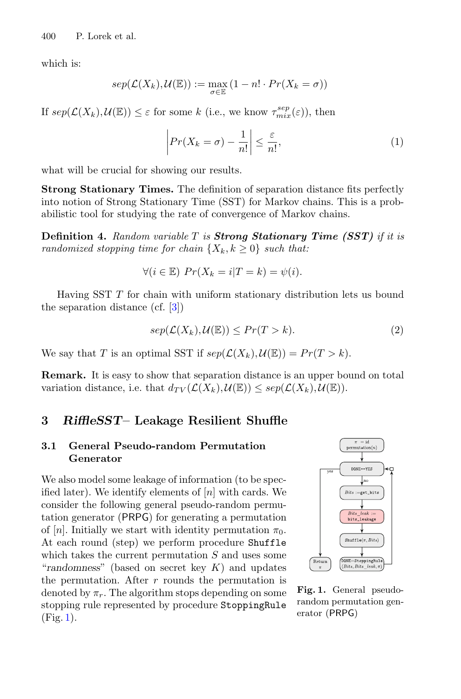which is:

$$
sep(\mathcal{L}(X_k), \mathcal{U}(\mathbb{E})) := \max_{\sigma \in \mathbb{E}} (1 - n! \cdot Pr(X_k = \sigma))
$$

If  $sep(\mathcal{L}(X_k), \mathcal{U}(\mathbb{E})) \le \varepsilon$  for some k (i.e., we know  $\tau_{mix}^{sep}(\varepsilon)$ ), then

<span id="page-5-2"></span>
$$
\left| Pr(X_k = \sigma) - \frac{1}{n!} \right| \le \frac{\varepsilon}{n!},\tag{1}
$$

what will be crucial for showing our results.

**Strong Stationary Times.** The definition of separation distance fits perfectly into notion of Strong Stationary Time (SST) for Markov chains. This is a probabilistic tool for studying the rate of convergence of Markov chains.

**Definition 4.** *Random variable* <sup>T</sup> *is Strong Stationary Time (SST) if it is randomized stopping time for chain*  $\{X_k, k \geq 0\}$  *such that:* 

$$
\forall (i \in \mathbb{E}) \ Pr(X_k = i | T = k) = \psi(i).
$$

Having SST T for chain with uniform stationary distribution lets us bound the separation distance (cf. [\[3\]](#page-11-2))

<span id="page-5-1"></span>
$$
sep(\mathcal{L}(X_k), \mathcal{U}(\mathbb{E})) \le Pr(T > k).
$$
 (2)

We say that T is an optimal SST if  $sep(\mathcal{L}(X_k), \mathcal{U}(\mathbb{E})) = Pr(T > k).$ 

**Remark.** It is easy to show that separation distance is an upper bound on total variation distance, i.e. that  $d_{TV}(\mathcal{L}(X_k), \mathcal{U}(\mathbb{E})) \leq sep(\mathcal{L}(X_k), \mathcal{U}(\mathbb{E}))$ .

## **3** *RiffleSST***– Leakage Resilient Shuffle**

#### **3.1 General Pseudo-random Permutation Generator**

We also model some leakage of information (to be specified later). We identify elements of  $[n]$  with cards. We consider the following general pseudo-random permutation generator (PRPG) for generating a permutation of [n]. Initially we start with identity permutation  $\pi_0$ . At each round (step) we perform procedure Shuffle which takes the current permutation  $S$  and uses some "*randomness*" (based on secret key K) and updates the permutation. After  $r$  rounds the permutation is denoted by  $\pi_r$ . The algorithm stops depending on some stopping rule represented by procedure StoppingRule (Fig. [1\)](#page-5-0).



<span id="page-5-0"></span>**Fig. 1.** General pseudorandom permutation generator (PRPG)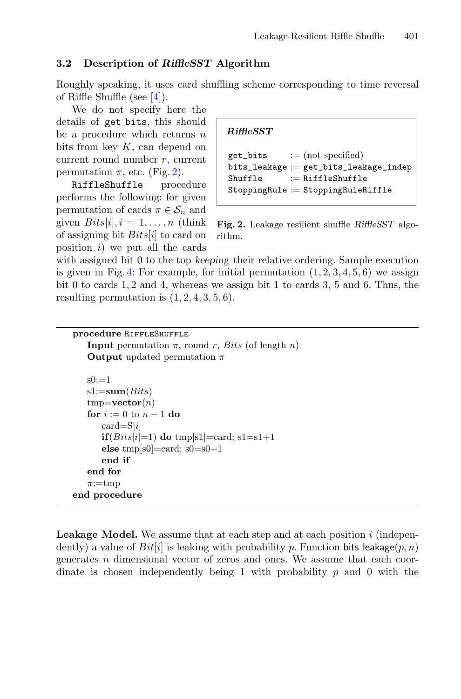#### **3.2 Description of** *RiffleSST* **Algorithm**

Roughly speaking, it uses card shuffling scheme corresponding to time reversal of Riffle Shuffle (see [\[4](#page-11-3)]).

We do not specify here the details of get bits, this should be a procedure which returns  $n$ bits from key  $K$ , can depend on current round number r, current permutation  $\pi$ , etc. (Fig. [2\)](#page-6-0).

RiffleShuffle procedure performs the following: for given permutation of cards  $\pi \in \mathcal{S}_n$  and given  $Bits[i], i = 1, \ldots, n$  (think) of assigning bit  $Bits[i]$  to card on position  $i)$  we put all the cards

**end procedure**

RiffleSST

```
get_bits
             := (not specified)
bits\_leakage := get\_bits\_leakage\_indep:=RiffleShuffle
Shuffle
StopingRule := StoppingRuleRiffle
```
**Fig. 2.** Leakage resilient shuffle *RiffleSST* algorithm.

with assigned bit 0 to the top *keeping* their relative ordering. Sample execution is given in Fig. [4:](#page-10-0) For example, for initial permutation  $(1, 2, 3, 4, 5, 6)$  we assign bit 0 to cards 1, 2 and 4, whereas we assign bit 1 to cards 3, 5 and 6. Thus, the resulting permutation is  $(1, 2, 4, 3, 5, 6)$ .

```
procedure RiffleShuffle
   Input permutation \pi, round r, Bits (of length n)
   Output updated permutation \pis0:=1s1:=sum(Bits)tmp=vector(n)for i := 0 to n - 1 do
      card = S[i]if (Bits[i]=1) do tmp[s1]=card; s1=s1+1
      else tmp[s0]=card; s0=s0+1
      end if
   end for
   \pi:=tmp
```
Leakage Model. We assume that at each step and at each position i (independently) a value of  $Bit[i]$  is leaking with probability p. Function bits leakage(p, n) generates  $n$  dimensional vector of zeros and ones. We assume that each coordinate is chosen independently being 1 with probability  $p$  and 0 with the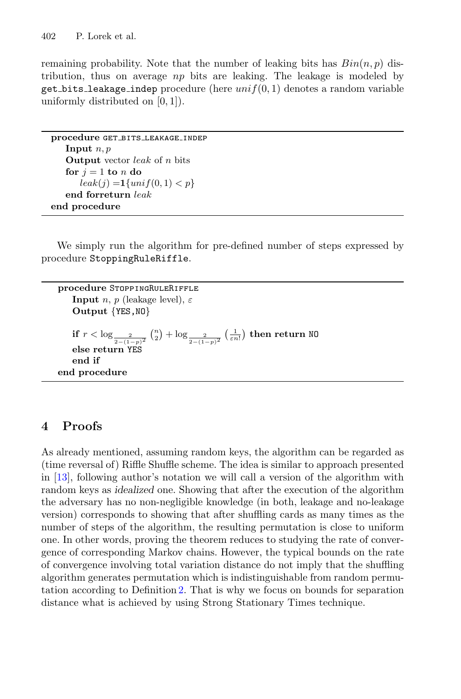remaining probability. Note that the number of leaking bits has  $Bin(n, p)$  distribution, thus on average  $np$  bits are leaking. The leakage is modeled by get bits leakage indep procedure (here  $unif(0, 1)$  denotes a random variable uniformly distributed on  $[0, 1]$ ).

```
procedure GET_BITS_LEAKAGE_INDEP
   Input n, pOutput vector leak of n bits
   for i = 1 to n do
      leak(j) = 1\{unif(0, 1) < p\}end forreturn leak
end procedure
```
We simply run the algorithm for pre-defined number of steps expressed by procedure StoppingRuleRiffle.

```
procedure StoppingRuleRiffle
    Input n, p (leakage level), \varepsilonOutput {YES,NO}
    if r < \log_{\frac{2}{2-(1-p)^2}}(\frac{n}{2}) + \log_{\frac{2}{2-(1-p)^2}}(\frac{1}{\varepsilon n!}) then return NO
    else return YES
    end if
end procedure
```
# **4 Proofs**

As already mentioned, assuming random keys, the algorithm can be regarded as (time reversal of) Riffle Shuffle scheme. The idea is similar to approach presented in [\[13](#page-12-1)], following author's notation we will call a version of the algorithm with random keys as *idealized* one. Showing that after the execution of the algorithm the adversary has no non-negligible knowledge (in both, leakage and no-leakage version) corresponds to showing that after shuffling cards as many times as the number of steps of the algorithm, the resulting permutation is close to uniform one. In other words, proving the theorem reduces to studying the rate of convergence of corresponding Markov chains. However, the typical bounds on the rate of convergence involving total variation distance do not imply that the shuffling algorithm generates permutation which is indistinguishable from random permutation according to Definition [2.](#page-3-0) That is why we focus on bounds for separation distance what is achieved by using Strong Stationary Times technique.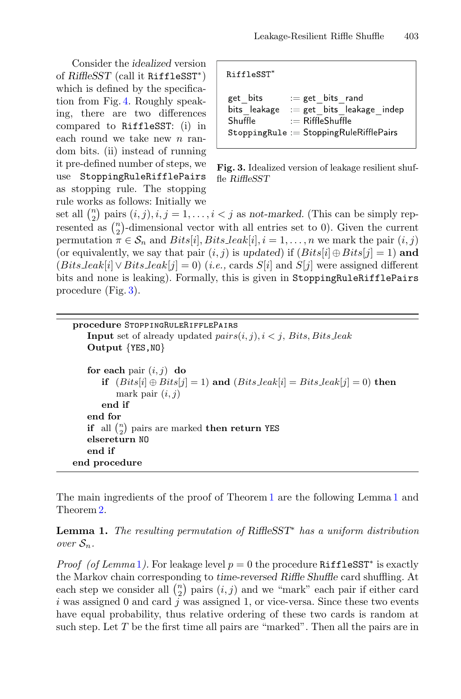Consider the *idealized* version of *RiffleSST* (call it RiffleSST∗) which is defined by the specification from Fig. [4.](#page-10-0) Roughly speaking, there are two differences compared to RiffleSST: (i) in each round we take new  $n$  random bits. (ii) instead of running it pre-defined number of steps, we use StoppingRuleRifflePairs as stopping rule. The stopping rule works as follows: Initially we

RiffleSST<sup>\*</sup>

<span id="page-8-0"></span>get bits  $:=$  get bits rand bits leakage  $:=$  get bits leakage indep Shuffle  $:=$  RiffleShuffle StoppingRule := StoppingRuleRifflePairs

**Fig. 3.** Idealized version of leakage resilient shuffle *RiffleSST*

set all  $\binom{n}{2}$  pairs  $(i, j), i, j = 1, \ldots, i < j$  as *not-marked*. (This can be simply represented as  $\binom{n}{2}$ -dimensional vector with all entries set to 0). Given the current permutation  $\pi \in \mathcal{S}_n$  and  $Bits[i], Bits\_{leak}[i], i = 1, \ldots, n$  we mark the pair  $(i, j)$ (or equivalently, we say that pair  $(i, j)$  is *updated*) if  $(Bits[i] \oplus Bits[j] = 1)$  and  $(Bits\text{.leak}[i] \vee Bits\text{.leak}[j] = 0)$  (*i.e.*, cards S[i] and S[j] were assigned different bits and none is leaking). Formally, this is given in StoppingRuleRifflePairs procedure (Fig. [3\)](#page-8-0).

**procedure** StoppingRuleRifflePairs **Input** set of already updated  $pairs(i, j), i < j$ , Bits, Bits leak **Output** {YES,NO} **for each** pair  $(i, j)$  **do if**  $(Bits[i] \oplus Bits[j] = 1)$  and  $(Bits\text{.leak}[i] = Bits\text{.leak}[j] = 0)$  then mark pair  $(i, j)$ **end if end for**  $\mathbf{if}$  all  $\binom{n}{2}$  pairs are marked **then return** YES **elsereturn** NO **end if end procedure**

<span id="page-8-1"></span>The main ingredients of the proof of Theorem [1](#page-2-0) are the following Lemma [1](#page-8-1) and Theorem [2.](#page-9-0)

**Lemma 1.** *The resulting permutation of RiffleSST*<sup>∗</sup> *has a uniform distribution over*  $S_n$ *.* 

*Proof (of Lemma* [1](#page-8-1)). For leakage level  $p = 0$  the procedure RiffleSST<sup>\*</sup> is exactly the Markov chain corresponding to *time-reversed Riffle Shuffle* card shuffling. At each step we consider all  $\binom{n}{2}$  pairs  $(i, j)$  and we "mark" each pair if either card i was assigned 0 and card  $j$  was assigned 1, or vice-versa. Since these two events have equal probability, thus relative ordering of these two cards is random at such step. Let  $T$  be the first time all pairs are "marked". Then all the pairs are in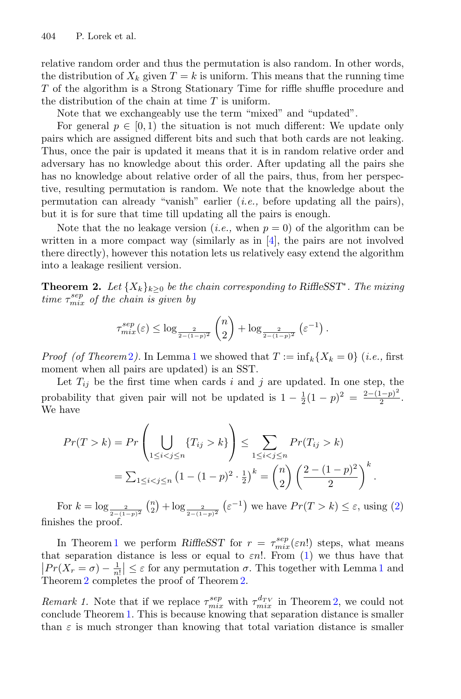relative random order and thus the permutation is also random. In other words, the distribution of  $X_k$  given  $T = k$  is uniform. This means that the running time T of the algorithm is a Strong Stationary Time for riffle shuffle procedure and the distribution of the chain at time  $T$  is uniform.

Note that we exchangeably use the term "mixed" and "updated".

For general  $p \in [0, 1)$  the situation is not much different: We update only pairs which are assigned different bits and such that both cards are not leaking. Thus, once the pair is updated it means that it is in random relative order and adversary has no knowledge about this order. After updating all the pairs she has no knowledge about relative order of all the pairs, thus, from her perspective, resulting permutation is random. We note that the knowledge about the permutation can already "vanish" earlier (*i.e.,* before updating all the pairs), but it is for sure that time till updating all the pairs is enough.

Note that the no leakage version (*i.e.*, when  $p = 0$ ) of the algorithm can be written in a more compact way (similarly as in  $[4]$  $[4]$ , the pairs are not involved there directly), however this notation lets us relatively easy extend the algorithm into a leakage resilient version.

<span id="page-9-0"></span>**Theorem 2.** Let  $\{X_k\}_{k>0}$  be the chain corresponding to RiffleSST<sup>\*</sup>. The mixing  $time \tau_{mix}^{sep}$  of the chain is given by

$$
\tau_{mix}^{sep}(\varepsilon) \le \log_{\frac{2}{2-(1-p)^2}} {n \choose 2} + \log_{\frac{2}{2-(1-p)^2}} (\varepsilon^{-1}).
$$

*Proof (of Theorem [2](#page-9-0)).* In Lemma [1](#page-8-1) we showed that  $T := \inf_k \{X_k = 0\}$  (*i.e.,* first moment when all pairs are updated) is an SST.

Let  $T_{ij}$  be the first time when cards i and j are updated. In one step, the probability that given pair will not be updated is  $1 - \frac{1}{2}(1 - p)^2 = \frac{2 - (1 - p)^2}{2}$ . We have

$$
Pr(T > k) = Pr\left(\bigcup_{1 \leq i < j \leq n} \{T_{ij} > k\}\right) \leq \sum_{1 \leq i < j \leq n} Pr(T_{ij} > k) \\
= \sum_{1 \leq i < j \leq n} \left(1 - (1 - p)^2 \cdot \frac{1}{2}\right)^k = {n \choose 2} \left(\frac{2 - (1 - p)^2}{2}\right)^k.
$$

For  $k = \log_{\frac{2}{2-(1-p)^2}} {n \choose 2} + \log_{\frac{2}{2-(1-p)^2}} (\varepsilon^{-1})$  we have  $Pr(T > k) \le \varepsilon$ , using [\(2\)](#page-5-1) finishes the proof.

In Theorem [1](#page-2-0) we perform *RiffleSST* for  $r = \tau_{mix}^{sep}(\varepsilon n!)$  steps, what means that separation distance is less or equal to  $\varepsilon n!$ . From [\(1\)](#page-5-2) we thus have that  $\left| Pr(X_r = \sigma) - \frac{1}{n!} \right| \leq \varepsilon$  $\left| Pr(X_r = \sigma) - \frac{1}{n!} \right| \leq \varepsilon$  $\left| Pr(X_r = \sigma) - \frac{1}{n!} \right| \leq \varepsilon$  for any permutation  $\sigma$ . This together with Lemma 1 and Theorem [2](#page-9-0) completes the proof of Theorem [2.](#page-9-0)

*Remark 1.* Note that if we replace  $\tau_{mix}^{sep}$  with  $\tau_{mix}^{d_{TV}}$  in Theorem [2,](#page-9-0) we could not conclude Theorem [1.](#page-2-0) This is because knowing that separation distance is smaller than  $\varepsilon$  is much stronger than knowing that total variation distance is smaller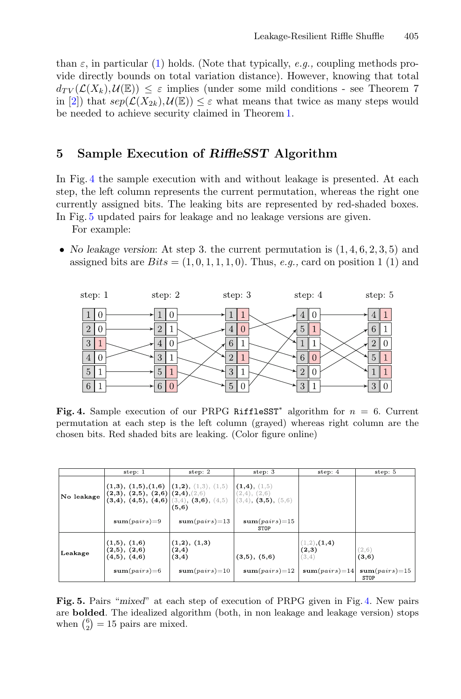than  $\varepsilon$ , in particular [\(1\)](#page-5-2) holds. (Note that typically, *e.g.*, coupling methods provide directly bounds on total variation distance). However, knowing that total  $d_{TV}(\mathcal{L}(X_k), \mathcal{U}(\mathbb{E})) \leq \varepsilon$  implies (under some mild conditions - see Theorem 7 in [\[2](#page-11-4)]) that  $sep(\mathcal{L}(X_{2k}), \mathcal{U}(\mathbb{E})) \leq \varepsilon$  what means that twice as many steps would be needed to achieve security claimed in Theorem [1.](#page-2-0)

## **5 Sample Execution of** *RiffleSST* **Algorithm**

In Fig. [4](#page-10-0) the sample execution with and without leakage is presented. At each step, the left column represents the current permutation, whereas the right one currently assigned bits. The leaking bits are represented by red-shaded boxes. In Fig. [5](#page-10-1) updated pairs for leakage and no leakage versions are given.

For example:

• *No leakage version*: At step 3. the current permutation is (1, <sup>4</sup>, <sup>6</sup>, <sup>2</sup>, <sup>3</sup>, 5) and assigned bits are  $Bits = (1, 0, 1, 1, 1, 0)$ . Thus, *e.g.*, card on position 1 (1) and



<span id="page-10-0"></span>**Fig. 4.** Sample execution of our PRPG RiffleSST<sup>\*</sup> algorithm for  $n = 6$ . Current permutation at each step is the left column (grayed) whereas right column are the chosen bits. Red shaded bits are leaking. (Color figure online)

|            | step: 1                                                                                                   | step: 2                                           | step: 3                                                          | step: 4                                           | step: 5                                   |
|------------|-----------------------------------------------------------------------------------------------------------|---------------------------------------------------|------------------------------------------------------------------|---------------------------------------------------|-------------------------------------------|
| No leakage | (1,3), (1,5),(1,6)<br>$(2,3), (2,5), (2,6)$ $(2,4), (2,6)$<br>$(3,4), (4,5), (4,6)$ $(3,4), (3,6), (4,5)$ | (1,2), (1,3), (1,5)<br>(5,6)                      | (1,4), (1,5)<br>$(2,4)$ , $(2,6)$<br>$(3,4)$ , $(3,5)$ , $(5,6)$ |                                                   |                                           |
|            | $sum(pairs)=9$                                                                                            | $sum(pairs)=13$                                   | $sum(pairs)=15$<br>STOP                                          |                                                   |                                           |
| Leakage    | (1,5), (1,6)<br>(2,5), (2,6)<br>(4,5), (4,6)<br>$sum(pairs)=6$                                            | (1,2), (1,3)<br>(2,4)<br>(3,4)<br>$sum(pairs)=10$ | (3,5), (5,6)<br>$sum(pairs)=12$                                  | (1,2), (1,4)<br>(2,3)<br>(3,4)<br>$sum(pairs)=14$ | (2,6)<br>(3,6)<br>$sum(pairs)=15$<br>STOP |

<span id="page-10-1"></span>**Fig. 5.** Pairs "*mixed*" at each step of execution of PRPG given in Fig. [4.](#page-10-0) New pairs are **bolded**. The idealized algorithm (both, in non leakage and leakage version) stops when  $\binom{6}{2} = 15$  pairs are mixed.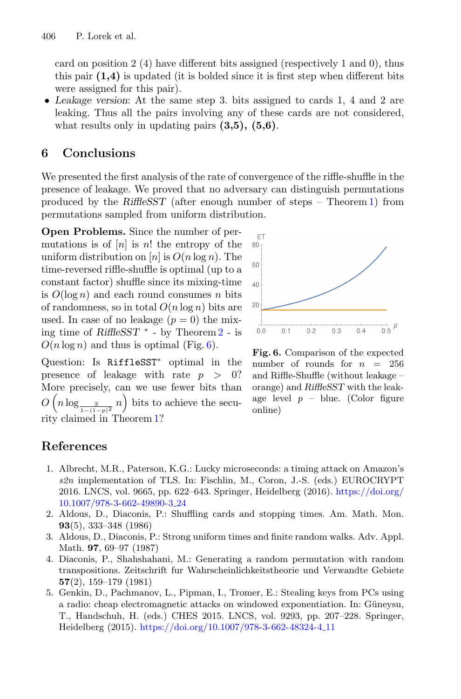card on position 2 (4) have different bits assigned (respectively 1 and 0), thus this pair **(1,4)** is updated (it is bolded since it is first step when different bits were assigned for this pair).

• *Leakage version*: At the same step 3. bits assigned to cards 1, 4 and 2 are leaking. Thus all the pairs involving any of these cards are not considered, what results only in updating pairs **(3,5), (5,6)**.

## **6 Conclusions**

We presented the first analysis of the rate of convergence of the riffle-shuffle in the presence of leakage. We proved that no adversary can distinguish permutations produced by the *RiffleSST* (after enough number of steps – Theorem [1\)](#page-2-0) from permutations sampled from uniform distribution.

**Open Problems.** Since the number of permutations is of  $[n]$  is n! the entropy of the uniform distribution on  $[n]$  is  $O(n \log n)$ . The time-reversed riffle-shuffle is optimal (up to a constant factor) shuffle since its mixing-time is  $O(\log n)$  and each round consumes n bits of randomness, so in total  $O(n \log n)$  bits are used. In case of no leakage  $(p = 0)$  the mixing time of *RiffleSST* <sup>∗</sup> - by Theorem [2](#page-9-0) - is  $O(n \log n)$  and thus is optimal (Fig. [6\)](#page-11-5).

Question: Is RiffleSST<sup>\*</sup> optimal in the presence of leakage with rate  $p > 0$ ? More precisely, can we use fewer bits than  $O\left(n \log_{\frac{2}{1-(1-p)^2}} n\right)$  bits to achieve the security claimed in Theorem [1?](#page-2-0)



<span id="page-11-5"></span>**Fig. 6.** Comparison of the expected number of rounds for  $n = 256$ and Riffle-Shuffle (without leakage – orange) and *RiffleSST* with the leakage level  $p - blue$ . (Color figure online)

# **References**

- <span id="page-11-1"></span>1. Albrecht, M.R., Paterson, K.G.: Lucky microseconds: a timing attack on Amazon's *s2n* implementation of TLS. In: Fischlin, M., Coron, J.-S. (eds.) EUROCRYPT 2016. LNCS, vol. 9665, pp. 622–643. Springer, Heidelberg (2016). [https://doi.org/](https://doi.org/10.1007/978-3-662-49890-3_24) [10.1007/978-3-662-49890-3](https://doi.org/10.1007/978-3-662-49890-3_24) 24
- <span id="page-11-4"></span>2. Aldous, D., Diaconis, P.: Shuffling cards and stopping times. Am. Math. Mon. **93**(5), 333–348 (1986)
- <span id="page-11-2"></span>3. Aldous, D., Diaconis, P.: Strong uniform times and finite random walks. Adv. Appl. Math. **97**, 69–97 (1987)
- <span id="page-11-3"></span>4. Diaconis, P., Shahshahani, M.: Generating a random permutation with random transpositions. Zeitschrift fur Wahrscheinlichkeitstheorie und Verwandte Gebiete **57**(2), 159–179 (1981)
- <span id="page-11-0"></span>5. Genkin, D., Pachmanov, L., Pipman, I., Tromer, E.: Stealing keys from PCs using a radio: cheap electromagnetic attacks on windowed exponentiation. In: Güneysu, T., Handschuh, H. (eds.) CHES 2015. LNCS, vol. 9293, pp. 207–228. Springer, Heidelberg (2015). [https://doi.org/10.1007/978-3-662-48324-4](https://doi.org/10.1007/978-3-662-48324-4_11) 11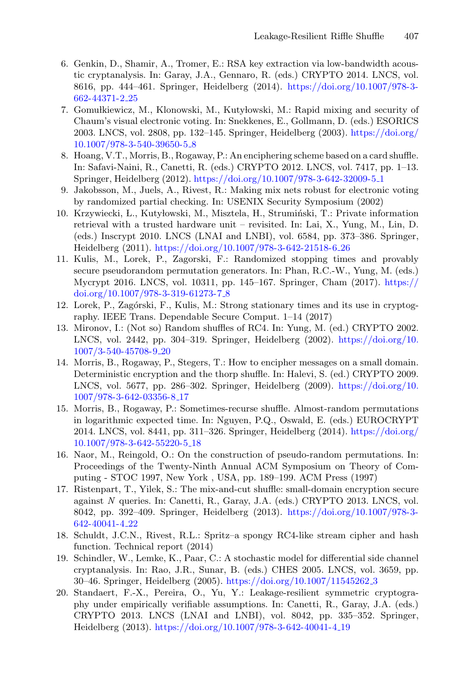- <span id="page-12-12"></span>6. Genkin, D., Shamir, A., Tromer, E.: RSA key extraction via low-bandwidth acoustic cryptanalysis. In: Garay, J.A., Gennaro, R. (eds.) CRYPTO 2014. LNCS, vol. 8616, pp. 444–461. Springer, Heidelberg (2014). [https://doi.org/10.1007/978-3-](https://doi.org/10.1007/978-3-662-44371-2_25) [662-44371-2](https://doi.org/10.1007/978-3-662-44371-2_25) 25
- <span id="page-12-3"></span>7. Gomułkiewicz, M., Klonowski, M., Kutyłowski, M.: Rapid mixing and security of Chaum's visual electronic voting. In: Snekkenes, E., Gollmann, D. (eds.) ESORICS 2003. LNCS, vol. 2808, pp. 132–145. Springer, Heidelberg (2003). [https://doi.org/](https://doi.org/10.1007/978-3-540-39650-5_8) [10.1007/978-3-540-39650-5](https://doi.org/10.1007/978-3-540-39650-5_8) 8
- <span id="page-12-6"></span>8. Hoang, V.T., Morris, B., Rogaway, P.: An enciphering scheme based on a card shuffle. In: Safavi-Naini, R., Canetti, R. (eds.) CRYPTO 2012. LNCS, vol. 7417, pp. 1–13. Springer, Heidelberg (2012). [https://doi.org/10.1007/978-3-642-32009-5](https://doi.org/10.1007/978-3-642-32009-5_1) 1
- <span id="page-12-4"></span>9. Jakobsson, M., Juels, A., Rivest, R.: Making mix nets robust for electronic voting by randomized partial checking. In: USENIX Security Symposium (2002)
- <span id="page-12-2"></span>10. Krzywiecki, L., Kutyłowski, M., Misztela, H., Strumiński, T.: Private information retrieval with a trusted hardware unit – revisited. In: Lai, X., Yung, M., Lin, D. (eds.) Inscrypt 2010. LNCS (LNAI and LNBI), vol. 6584, pp. 373–386. Springer, Heidelberg (2011). [https://doi.org/10.1007/978-3-642-21518-6](https://doi.org/10.1007/978-3-642-21518-6_26) 26
- <span id="page-12-11"></span>11. Kulis, M., Lorek, P., Zagorski, F.: Randomized stopping times and provably secure pseudorandom permutation generators. In: Phan, R.C.-W., Yung, M. (eds.) Mycrypt 2016. LNCS, vol. 10311, pp. 145–167. Springer, Cham (2017). [https://](https://doi.org/10.1007/978-3-319-61273-7_8) [doi.org/10.1007/978-3-319-61273-7](https://doi.org/10.1007/978-3-319-61273-7_8) 8
- <span id="page-12-9"></span>12. Lorek, P., Zag´orski, F., Kulis, M.: Strong stationary times and its use in cryptography. IEEE Trans. Dependable Secure Comput. 1–14 (2017)
- <span id="page-12-1"></span>13. Mironov, I.: (Not so) Random shuffles of RC4. In: Yung, M. (ed.) CRYPTO 2002. LNCS, vol. 2442, pp. 304–319. Springer, Heidelberg (2002). [https://doi.org/10.](https://doi.org/10.1007/3-540-45708-9_20) [1007/3-540-45708-9](https://doi.org/10.1007/3-540-45708-9_20) 20
- <span id="page-12-0"></span>14. Morris, B., Rogaway, P., Stegers, T.: How to encipher messages on a small domain. Deterministic encryption and the thorp shuffle. In: Halevi, S. (ed.) CRYPTO 2009. LNCS, vol. 5677, pp. 286–302. Springer, Heidelberg (2009). [https://doi.org/10.](https://doi.org/10.1007/978-3-642-03356-8_17) [1007/978-3-642-03356-8](https://doi.org/10.1007/978-3-642-03356-8_17) 17
- <span id="page-12-7"></span>15. Morris, B., Rogaway, P.: Sometimes-recurse shuffle. Almost-random permutations in logarithmic expected time. In: Nguyen, P.Q., Oswald, E. (eds.) EUROCRYPT 2014. LNCS, vol. 8441, pp. 311–326. Springer, Heidelberg (2014). [https://doi.org/](https://doi.org/10.1007/978-3-642-55220-5_18) [10.1007/978-3-642-55220-5](https://doi.org/10.1007/978-3-642-55220-5_18) 18
- <span id="page-12-5"></span>16. Naor, M., Reingold, O.: On the construction of pseudo-random permutations. In: Proceedings of the Twenty-Ninth Annual ACM Symposium on Theory of Computing - STOC 1997, New York , USA, pp. 189–199. ACM Press (1997)
- <span id="page-12-8"></span>17. Ristenpart, T., Yilek, S.: The mix-and-cut shuffle: small-domain encryption secure against *N* queries. In: Canetti, R., Garay, J.A. (eds.) CRYPTO 2013. LNCS, vol. 8042, pp. 392–409. Springer, Heidelberg (2013). [https://doi.org/10.1007/978-3-](https://doi.org/10.1007/978-3-642-40041-4_22) [642-40041-4](https://doi.org/10.1007/978-3-642-40041-4_22) 22
- <span id="page-12-10"></span>18. Schuldt, J.C.N., Rivest, R.L.: Spritz–a spongy RC4-like stream cipher and hash function. Technical report (2014)
- <span id="page-12-13"></span>19. Schindler, W., Lemke, K., Paar, C.: A stochastic model for differential side channel cryptanalysis. In: Rao, J.R., Sunar, B. (eds.) CHES 2005. LNCS, vol. 3659, pp. 30–46. Springer, Heidelberg (2005). [https://doi.org/10.1007/11545262](https://doi.org/10.1007/11545262_3) 3
- 20. Standaert, F.-X., Pereira, O., Yu, Y.: Leakage-resilient symmetric cryptography under empirically verifiable assumptions. In: Canetti, R., Garay, J.A. (eds.) CRYPTO 2013. LNCS (LNAI and LNBI), vol. 8042, pp. 335–352. Springer, Heidelberg (2013). [https://doi.org/10.1007/978-3-642-40041-4](https://doi.org/10.1007/978-3-642-40041-4_19) 19